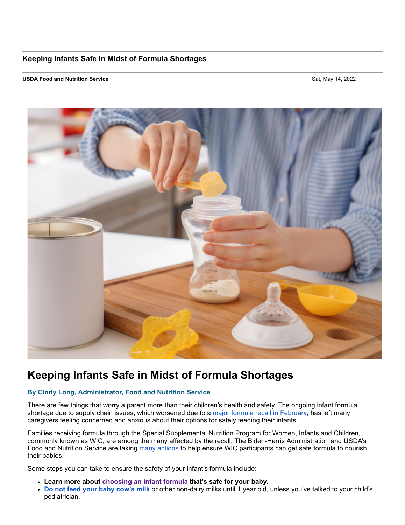## **Keeping Infants Safe in Midst of Formula Shortages**

## **USDA Food and Nutrition Service** Sat, May 14, 2022



## **Keeping Infants Safe in Midst of Formula Shortages**

## **By Cindy Long, Administrator, Food and Nutrition Service**

There are few things that worry a parent more than their children's health and safety. The ongoing infant formula shortage due to supply chain issues, which worsened due to a [major formula recall in February,](https://lnks.gd/l/eyJhbGciOiJIUzI1NiJ9.eyJidWxsZXRpbl9saW5rX2lkIjoxMDAsInVyaSI6ImJwMjpjbGljayIsImJ1bGxldGluX2lkIjoiMjAyMjA1MTQuNTc5MTc4OTEiLCJ1cmwiOiJodHRwczovL3d3dy5mZGEuZ292L2Zvb2Qvb3V0YnJlYWtzLWZvb2Rib3JuZS1pbGxuZXNzL2ZkYS1pbnZlc3RpZ2F0aW9uLWNyb25vYmFjdGVyLWluZmVjdGlvbnMtcG93ZGVyZWQtaW5mYW50LWZvcm11bGEtZmVicnVhcnktMjAyMiM2MjJmMWNjMzkxYmY2In0.LedauFr2cgDdf1g0njrQeWvEijquW0RKf-vtCKJ5jX8/s/48891141/br/131343440427-l) has left many caregivers feeling concerned and anxious about their options for safely feeding their infants.

Families receiving formula through the Special Supplemental Nutrition Program for Women, Infants and Children, commonly known as WIC, are among the many affected by the recall. The Biden-Harris Administration and USDA's Food and Nutrition Service are taking [many actions](https://lnks.gd/l/eyJhbGciOiJIUzI1NiJ9.eyJidWxsZXRpbl9saW5rX2lkIjoxMDEsInVyaSI6ImJwMjpjbGljayIsImJ1bGxldGluX2lkIjoiMjAyMjA1MTQuNTc5MTc4OTEiLCJ1cmwiOiJodHRwczovL3d3dy5mbnMudXNkYS5nb3Yvb2ZzL2luZmFudC1mb3JtdWxhLXNhZmV0eSJ9.-0Cm0cTH-L8ttireh04jsPZWDRF-NEt7fIn7RZZLFu4/s/48891141/br/131343440427-l) to help ensure WIC participants can get safe formula to nourish their babies.

Some steps you can take to ensure the safety of your infant's formula include:

- **Learn more about [choosing an infant formula](https://lnks.gd/l/eyJhbGciOiJIUzI1NiJ9.eyJidWxsZXRpbl9saW5rX2lkIjoxMDIsInVyaSI6ImJwMjpjbGljayIsImJ1bGxldGluX2lkIjoiMjAyMjA1MTQuNTc5MTc4OTEiLCJ1cmwiOiJodHRwczovL3d3dy5jZGMuZ292L251dHJpdGlvbi9pbmZhbnRhbmR0b2RkbGVybnV0cml0aW9uL2Zvcm11bGEtZmVlZGluZy9jaG9vc2luZy1hbi1pbmZhbnQtZm9ybXVsYS5odG1sIn0.NU6Doir8HdYfFipTGgMKfAlBrKELYO2tRFpWcdtQWBI/s/48891141/br/131343440427-l) that's safe for your baby.**
- **[Do not feed your baby cow's milk](https://lnks.gd/l/eyJhbGciOiJIUzI1NiJ9.eyJidWxsZXRpbl9saW5rX2lkIjoxMDMsInVyaSI6ImJwMjpjbGljayIsImJ1bGxldGluX2lkIjoiMjAyMjA1MTQuNTc5MTc4OTEiLCJ1cmwiOiJodHRwczovL3d3dy5oZWFsdGh5Y2hpbGRyZW4ub3JnL0VuZ2xpc2gvYWdlcy1zdGFnZXMvYmFieS9mb3JtdWxhLWZlZWRpbmcvUGFnZXMvV2h5LUZvcm11bGEtSW5zdGVhZC1vZi1Db3dzLU1pbGsuYXNweCJ9.KUsqKl5vnGk02_70vLTU6z7CZAuW2X5UMTChStbpEpE/s/48891141/br/131343440427-l)** or other non-dairy milks until 1 year old, unless you've talked to your child's pediatrician.